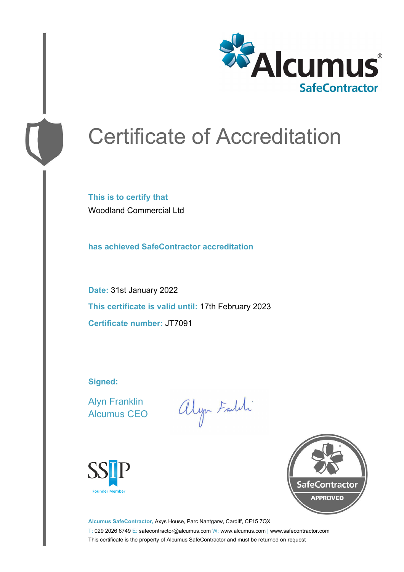

# Certificate of Accreditation

**This is to certify that** Woodland Commercial Ltd

**has achieved SafeContractor accreditation**

**Date:** 31st January 2022 **This certificate is valid until:** 17th February 2023 **Certificate number:** JT7091

**Signed:**

Alyn Franklin Alcumus CEO

alyn Faith





**Alcumus SafeContractor,** Axys House, Parc Nantgarw, Cardiff, CF15 7QX T: 029 2026 6749 E: safecontractor@alcumus.com W: www.alcumus.com | www.safecontractor.com This certificate is the property of Alcumus SafeContractor and must be returned on request